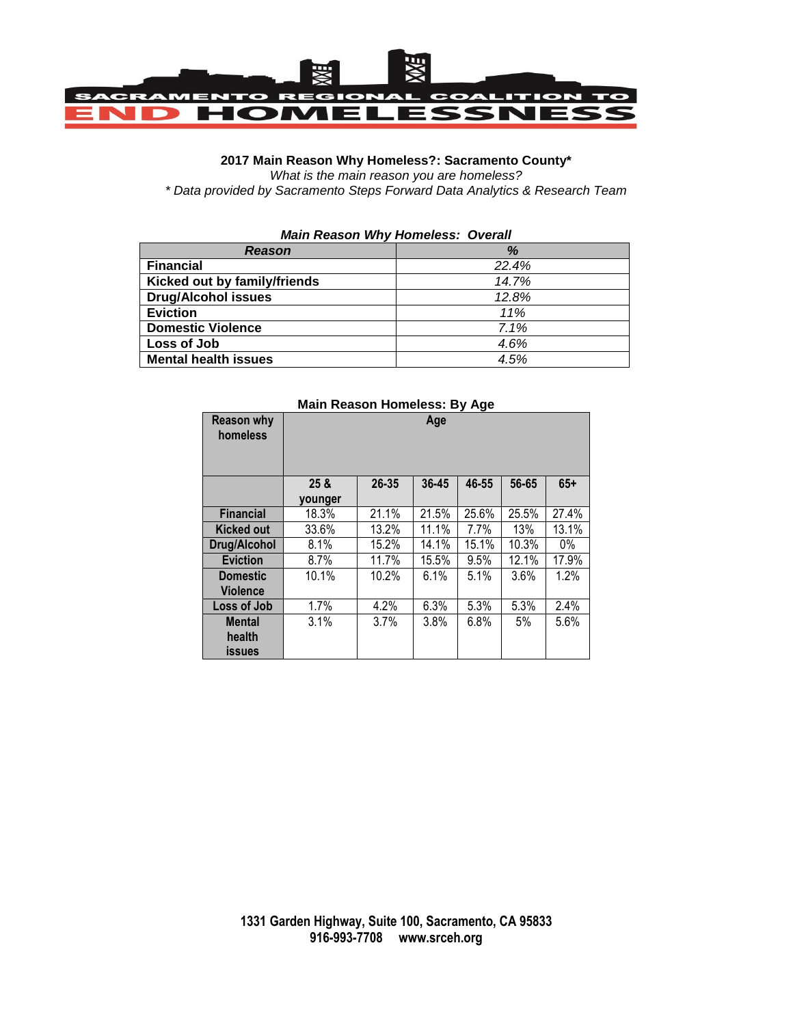

## **2017 Main Reason Why Homeless?: Sacramento County\***

*What is the main reason you are homeless?*

*\* Data provided by Sacramento Steps Forward Data Analytics & Research Team*

| <b>Main Reason Why Homeless: Overall</b> |       |  |  |
|------------------------------------------|-------|--|--|
| <b>Reason</b>                            | %     |  |  |
| <b>Financial</b>                         | 22.4% |  |  |
| Kicked out by family/friends             | 14.7% |  |  |
| <b>Drug/Alcohol issues</b>               | 12.8% |  |  |
| <b>Eviction</b>                          | 11%   |  |  |
| <b>Domestic Violence</b>                 | 7.1%  |  |  |
| Loss of Job                              | 4.6%  |  |  |
| <b>Mental health issues</b>              | 4.5%  |  |  |

|                               | $m$ ani Rodobni Homoloos. By Ago |       |       |       |       |       |
|-------------------------------|----------------------------------|-------|-------|-------|-------|-------|
| <b>Reason why</b><br>homeless | Age                              |       |       |       |       |       |
|                               |                                  |       |       |       |       |       |
|                               |                                  |       |       |       |       |       |
|                               | 25 <sub>8</sub>                  | 26-35 | 36-45 | 46-55 | 56-65 | $65+$ |
|                               | younger                          |       |       |       |       |       |
| <b>Financial</b>              | 18.3%                            | 21.1% | 21.5% | 25.6% | 25.5% | 27.4% |
| <b>Kicked out</b>             | 33.6%                            | 13.2% | 11.1% | 7.7%  | 13%   | 13.1% |
| Drug/Alcohol                  | 8.1%                             | 15.2% | 14.1% | 15.1% | 10.3% | $0\%$ |
| <b>Eviction</b>               | 8.7%                             | 11.7% | 15.5% | 9.5%  | 12.1% | 17.9% |
| <b>Domestic</b>               | 10.1%                            | 10.2% | 6.1%  | 5.1%  | 3.6%  | 1.2%  |
| <b>Violence</b>               |                                  |       |       |       |       |       |
| Loss of Job                   | 1.7%                             | 4.2%  | 6.3%  | 5.3%  | 5.3%  | 2.4%  |
| <b>Mental</b>                 | 3.1%                             | 3.7%  | 3.8%  | 6.8%  | 5%    | 5.6%  |
| health                        |                                  |       |       |       |       |       |
| <b>issues</b>                 |                                  |       |       |       |       |       |

## **Main Reason Homeless: By Age**